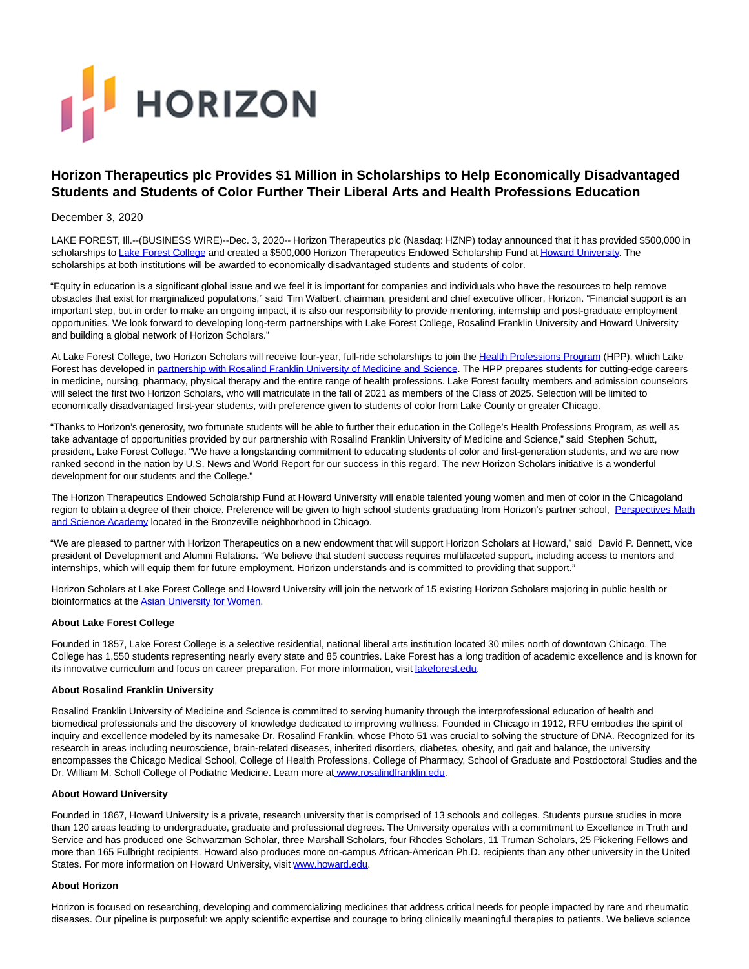# **FE** HORIZON

# **Horizon Therapeutics plc Provides \$1 Million in Scholarships to Help Economically Disadvantaged Students and Students of Color Further Their Liberal Arts and Health Professions Education**

## December 3, 2020

LAKE FOREST, Ill.--(BUSINESS WIRE)--Dec. 3, 2020-- Horizon Therapeutics plc (Nasdaq: HZNP) today announced that it has provided \$500,000 in scholarships t[o Lake Forest College a](https://cts.businesswire.com/ct/CT?id=smartlink&url=https%3A%2F%2Fwww.lakeforest.edu%2Fnews-and-events%2Flake-forest-college-rfu-launch-joint-health-professions-program&esheet=52342387&newsitemid=20201203005569&lan=en-US&anchor=Lake+Forest+College&index=1&md5=77565dc2ce17ffcc69acb31eb55a21ed)nd created a \$500,000 Horizon Therapeutics Endowed Scholarship Fund a[t Howard University.](https://cts.businesswire.com/ct/CT?id=smartlink&url=https%3A%2F%2Fhome.howard.edu%2F&esheet=52342387&newsitemid=20201203005569&lan=en-US&anchor=Howard+University&index=2&md5=f447e5b23525f476fdd5277241e6d192) The scholarships at both institutions will be awarded to economically disadvantaged students and students of color.

"Equity in education is a significant global issue and we feel it is important for companies and individuals who have the resources to help remove obstacles that exist for marginalized populations," said Tim Walbert, chairman, president and chief executive officer, Horizon. "Financial support is an important step, but in order to make an ongoing impact, it is also our responsibility to provide mentoring, internship and post-graduate employment opportunities. We look forward to developing long-term partnerships with Lake Forest College, Rosalind Franklin University and Howard University and building a global network of Horizon Scholars."

At Lake Forest College, two Horizon Scholars will receive four-year, full-ride scholarships to join the [Health Professions Program \(](https://cts.businesswire.com/ct/CT?id=smartlink&url=https%3A%2F%2Fwww.lakeforest.edu%2Facademics%2Fmajors-and-minors%2Fhealth-professions-program&esheet=52342387&newsitemid=20201203005569&lan=en-US&anchor=Health+Professions+Program&index=3&md5=5456dabb588141a61384563cf7158ba4)HPP), which Lake Forest has developed in [partnership with Rosalind Franklin University of Medicine and Science.](https://cts.businesswire.com/ct/CT?id=smartlink&url=https%3A%2F%2Fwww.lakeforest.edu%2Fnews-and-events%2Flake-forest-college-rfu-launch-joint-health-professions-program&esheet=52342387&newsitemid=20201203005569&lan=en-US&anchor=partnership+with+Rosalind+Franklin+University+of+Medicine+and+Science&index=4&md5=e1334058a19ecb1a8af717197a97eaba) The HPP prepares students for cutting-edge careers in medicine, nursing, pharmacy, physical therapy and the entire range of health professions. Lake Forest faculty members and admission counselors will select the first two Horizon Scholars, who will matriculate in the fall of 2021 as members of the Class of 2025. Selection will be limited to economically disadvantaged first-year students, with preference given to students of color from Lake County or greater Chicago.

"Thanks to Horizon's generosity, two fortunate students will be able to further their education in the College's Health Professions Program, as well as take advantage of opportunities provided by our partnership with Rosalind Franklin University of Medicine and Science," said Stephen Schutt, president, Lake Forest College. "We have a longstanding commitment to educating students of color and first-generation students, and we are now ranked second in the nation by U.S. News and World Report for our success in this regard. The new Horizon Scholars initiative is a wonderful development for our students and the College."

The Horizon Therapeutics Endowed Scholarship Fund at Howard University will enable talented young women and men of color in the Chicagoland region to obtain a degree of their choice. Preference will be given to high school students graduating from Horizon's partner school, [Perspectives Math](https://cts.businesswire.com/ct/CT?id=smartlink&url=https%3A%2F%2Fpcsedu.org%2Fpcs-our-campuses%2Fperspectives-iit-math-science-academy%2F&esheet=52342387&newsitemid=20201203005569&lan=en-US&anchor=Perspectives+Math+and+Science+Academy&index=5&md5=2cb302e64c9b3a0e1af714134166961d) and Science Academy located in the Bronzeville neighborhood in Chicago.

"We are pleased to partner with Horizon Therapeutics on a new endowment that will support Horizon Scholars at Howard," said David P. Bennett, vice president of Development and Alumni Relations. "We believe that student success requires multifaceted support, including access to mentors and internships, which will equip them for future employment. Horizon understands and is committed to providing that support."

Horizon Scholars at Lake Forest College and Howard University will join the network of 15 existing Horizon Scholars majoring in public health or bioinformatics at th[e Asian University for Women.](https://cts.businesswire.com/ct/CT?id=smartlink&url=https%3A%2F%2Fasian-university.org%2F&esheet=52342387&newsitemid=20201203005569&lan=en-US&anchor=Asian+University+for+Women&index=6&md5=14cdc8110f53570a73477760d439f07d)

## **About Lake Forest College**

Founded in 1857, Lake Forest College is a selective residential, national liberal arts institution located 30 miles north of downtown Chicago. The College has 1,550 students representing nearly every state and 85 countries. Lake Forest has a long tradition of academic excellence and is known for its innovative curriculum and focus on career preparation. For more information, visi[t lakeforest.edu.](https://cts.businesswire.com/ct/CT?id=smartlink&url=https%3A%2F%2Furldefense.com%2Fv3%2F__http%3A%2Fwww.lakeforest.edu%2F__%3B%21%21Ef8XXVgkWmNjqc0%21KspOrxJ9uIorsJhKx56p44qBEJv0iNC8VUMDNzYxR_rFR44B4lI5UnrDloje6gfH4jZ4GEpK%24&esheet=52342387&newsitemid=20201203005569&lan=en-US&anchor=lakeforest.edu&index=7&md5=029794d99c6ffaef748f49dfc30e9b07)

## **About Rosalind Franklin University**

Rosalind Franklin University of Medicine and Science is committed to serving humanity through the interprofessional education of health and biomedical professionals and the discovery of knowledge dedicated to improving wellness. Founded in Chicago in 1912, RFU embodies the spirit of inquiry and excellence modeled by its namesake Dr. Rosalind Franklin, whose Photo 51 was crucial to solving the structure of DNA. Recognized for its research in areas including neuroscience, brain-related diseases, inherited disorders, diabetes, obesity, and gait and balance, the university encompasses the Chicago Medical School, College of Health Professions, College of Pharmacy, School of Graduate and Postdoctoral Studies and the Dr. William M. Scholl College of Podiatric Medicine. Learn more [at www.rosalindfranklin.edu.](https://cts.businesswire.com/ct/CT?id=smartlink&url=https%3A%2F%2Furldefense.com%2Fv3%2F__http%3A%2Fwww.rosalindfranklin.edu%2F__%3B%21%21Ef8XXVgkWmNjqc0%21Kj2i9dl_T_z76qGenp0zNBJHEfZ9kAMt_QY-J3wT1FDRIp2OkTezTtwNhxX5ETBIshcAlw-g8w%24&esheet=52342387&newsitemid=20201203005569&lan=en-US&anchor=www.rosalindfranklin.edu&index=8&md5=f86d788b79d6cd4db35a8370cdf1aee5)

## **About Howard University**

Founded in 1867, Howard University is a private, research university that is comprised of 13 schools and colleges. Students pursue studies in more than 120 areas leading to undergraduate, graduate and professional degrees. The University operates with a commitment to Excellence in Truth and Service and has produced one Schwarzman Scholar, three Marshall Scholars, four Rhodes Scholars, 11 Truman Scholars, 25 Pickering Fellows and more than 165 Fulbright recipients. Howard also produces more on-campus African-American Ph.D. recipients than any other university in the United States. For more information on Howard University, visit [www.howard.edu.](https://cts.businesswire.com/ct/CT?id=smartlink&url=http%3A%2F%2Fwww.howard.edu%2F&esheet=52342387&newsitemid=20201203005569&lan=en-US&anchor=www.howard.edu&index=9&md5=381111079a9b0e3a33be36fb73a47213)

## **About Horizon**

Horizon is focused on researching, developing and commercializing medicines that address critical needs for people impacted by rare and rheumatic diseases. Our pipeline is purposeful: we apply scientific expertise and courage to bring clinically meaningful therapies to patients. We believe science